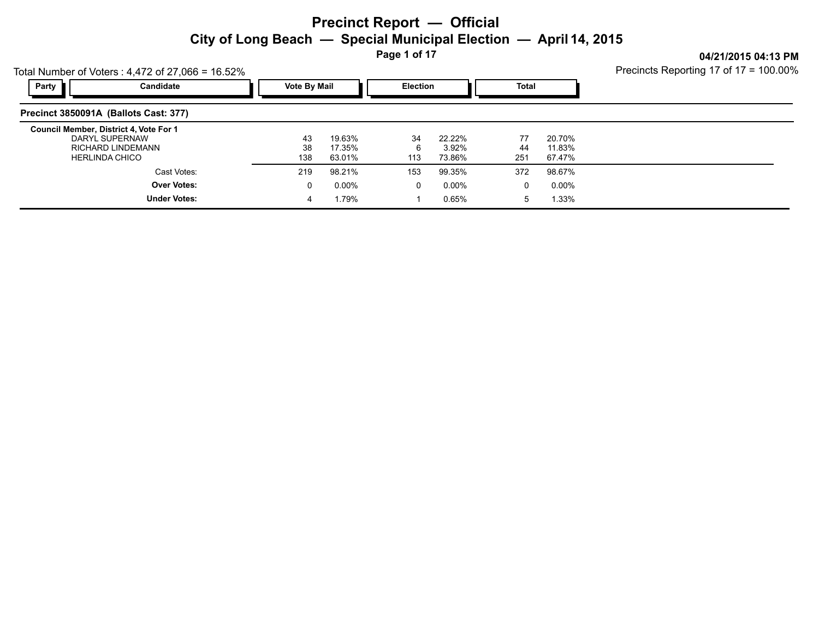**Page 1 of 17**

**04/21/2015 04:13 PM** Precincts Reporting 17 of 17 = 100.00%

| Total Number of Voters: $4,472$ of 27,066 = 16.52%                                                            | Precincts Reporting 17 of 17 = 100.00% |                            |                 |                           |                 |                            |  |
|---------------------------------------------------------------------------------------------------------------|----------------------------------------|----------------------------|-----------------|---------------------------|-----------------|----------------------------|--|
| Party<br>Candidate                                                                                            | <b>Vote By Mail</b>                    |                            | <b>Election</b> |                           | Total           |                            |  |
| Precinct 3850091A (Ballots Cast: 377)                                                                         |                                        |                            |                 |                           |                 |                            |  |
| Council Member, District 4, Vote For 1<br>DARYL SUPERNAW<br><b>RICHARD LINDEMANN</b><br><b>HERLINDA CHICO</b> | 43<br>38<br>138                        | 19.63%<br>17.35%<br>63.01% | 34<br>6<br>113  | 22.22%<br>3.92%<br>73.86% | 77<br>44<br>251 | 20.70%<br>11.83%<br>67.47% |  |
| Cast Votes:                                                                                                   | 219                                    | 98.21%                     | 153             | 99.35%                    | 372             | 98.67%                     |  |
| <b>Over Votes:</b>                                                                                            | 0                                      | $0.00\%$                   | 0               | 0.00%                     | $\Omega$        | 0.00%                      |  |
| <b>Under Votes:</b>                                                                                           | 4                                      | 1.79%                      |                 | 0.65%                     | 5               | 1.33%                      |  |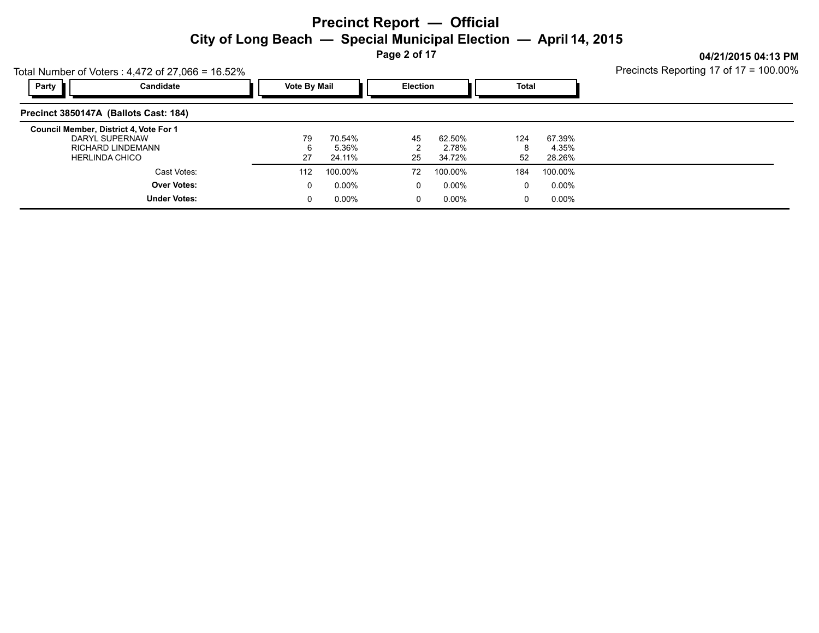**Page 2 of 17**

**04/21/2015 04:13 PM** Precincts Reporting 17 of 17 = 100.00%

|       | $10.32 \times 10^{-10}$ or vultis . 4.47 2 01 27,000 - 10.32 %                                                | The international contract in<br> |                                       |          |                           |                |                           |  |
|-------|---------------------------------------------------------------------------------------------------------------|-----------------------------------|---------------------------------------|----------|---------------------------|----------------|---------------------------|--|
| Party | Candidate                                                                                                     |                                   | <b>Vote By Mail</b>                   |          | <b>Election</b>           |                | <b>Total</b>              |  |
|       | Precinct 3850147A (Ballots Cast: 184)                                                                         |                                   |                                       |          |                           |                |                           |  |
|       | Council Member, District 4, Vote For 1<br>DARYL SUPERNAW<br><b>RICHARD LINDEMANN</b><br><b>HERLINDA CHICO</b> |                                   | 79<br>70.54%<br>5.36%<br>27<br>24.11% | 45<br>25 | 62.50%<br>2.78%<br>34.72% | 124<br>8<br>52 | 67.39%<br>4.35%<br>28.26% |  |
|       | Cast Votes:                                                                                                   |                                   | 100.00%<br>112                        | 72       | 100.00%                   | 184            | 100.00%                   |  |
|       | <b>Over Votes:</b>                                                                                            |                                   | $0.00\%$<br>0                         |          | $0.00\%$<br>0             | 0              | $0.00\%$                  |  |
|       | <b>Under Votes:</b>                                                                                           |                                   | $0.00\%$                              |          | 0.00%<br>0                | 0              | $0.00\%$                  |  |

Total Number of Voters  $\cdot$  4,472 of 27,066 = 16.52%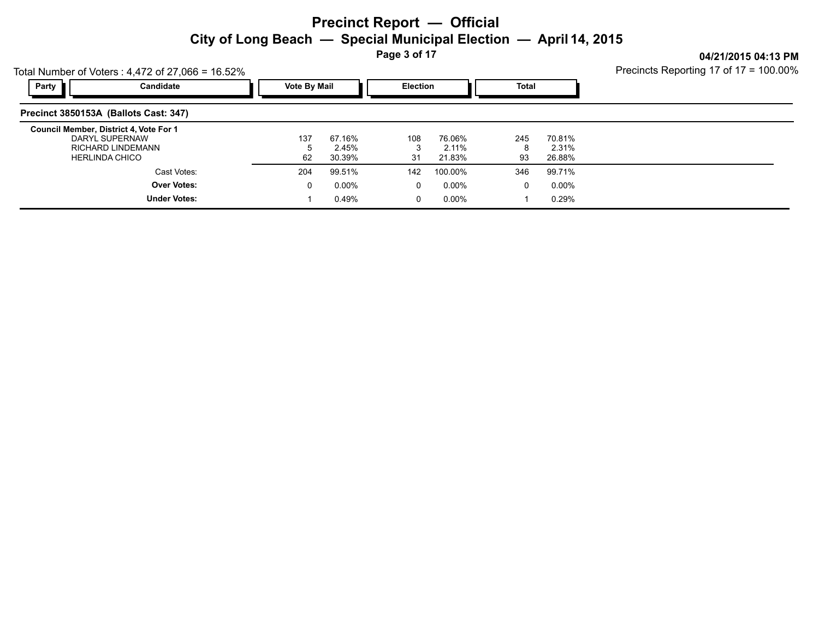**Page 3 of 17**

**04/21/2015 04:13 PM**

| Total Number of Voters: $4,472$ of 27,066 = 16.52%                                                     |                                           | Precincts Reporting 17 of 17 = 100.00% |                     |                           |                  |                           |                |                           |  |
|--------------------------------------------------------------------------------------------------------|-------------------------------------------|----------------------------------------|---------------------|---------------------------|------------------|---------------------------|----------------|---------------------------|--|
| Party                                                                                                  | Candidate                                 |                                        | <b>Vote By Mail</b> |                           |                  | Election                  |                | <b>Total</b>              |  |
| Precinct 3850153A (Ballots Cast: 347)                                                                  |                                           |                                        |                     |                           |                  |                           |                |                           |  |
| Council Member, District 4, Vote For 1<br>DARYL SUPERNAW<br>RICHARD LINDEMANN<br><b>HERLINDA CHICO</b> |                                           |                                        | 137<br>62           | 67.16%<br>2.45%<br>30.39% | 108<br>3<br>31   | 76.06%<br>2.11%<br>21.83% | 245<br>8<br>93 | 70.81%<br>2.31%<br>26.88% |  |
|                                                                                                        | Cast Votes:                               |                                        | 204                 | 99.51%                    | 142              | 100.00%                   | 346            | 99.71%                    |  |
|                                                                                                        | <b>Over Votes:</b><br><b>Under Votes:</b> |                                        | 0                   | $0.00\%$<br>0.49%         | $\mathbf 0$<br>0 | 0.00%<br>$0.00\%$         | 0              | 0.00%<br>0.29%            |  |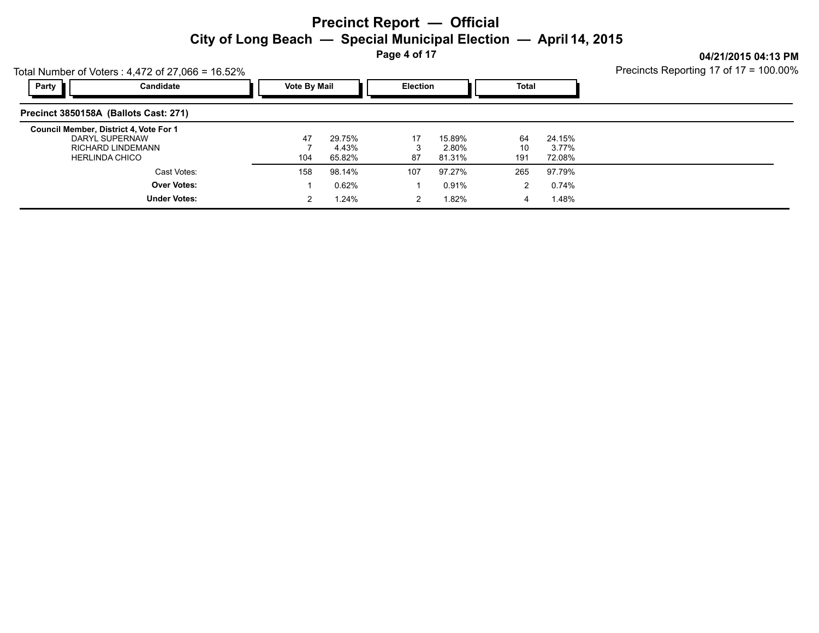**Page 4 of 17**

**04/21/2015 04:13 PM**

| Total Number of Voters: $4,472$ of 27,066 = 16.52%                                |                          | Precincts Reporting 17 of 17 = 100.00% |                           |          |                           |                 |                           |  |
|-----------------------------------------------------------------------------------|--------------------------|----------------------------------------|---------------------------|----------|---------------------------|-----------------|---------------------------|--|
| Party                                                                             | Candidate                | <b>Vote By Mail</b>                    |                           |          | <b>Election</b>           |                 | Total                     |  |
| Precinct 3850158A (Ballots Cast: 271)                                             |                          |                                        |                           |          |                           |                 |                           |  |
| Council Member, District 4, Vote For 1<br>DARYL SUPERNAW<br><b>HERLINDA CHICO</b> | <b>RICHARD LINDEMANN</b> | 47<br>104                              | 29.75%<br>4.43%<br>65.82% | 17<br>87 | 15.89%<br>2.80%<br>81.31% | 64<br>10<br>191 | 24.15%<br>3.77%<br>72.08% |  |
|                                                                                   | Cast Votes:              | 158                                    | 98.14%                    | 107      | 97.27%                    | 265             | 97.79%                    |  |
|                                                                                   | <b>Over Votes:</b>       |                                        | 0.62%                     |          | 0.91%                     |                 | 0.74%                     |  |
|                                                                                   | <b>Under Votes:</b>      |                                        | 1.24%                     |          | 1.82%                     |                 | 1.48%                     |  |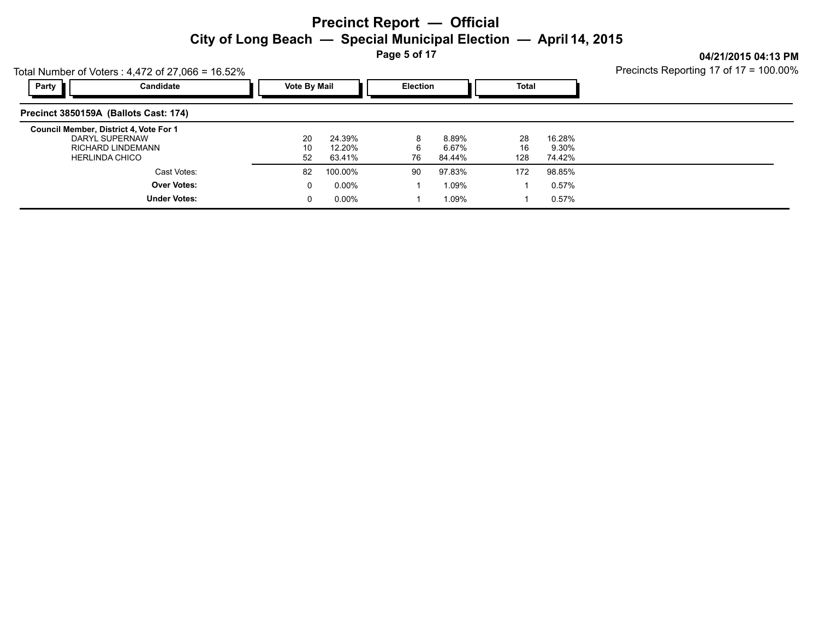**Page 5 of 17**

**04/21/2015 04:13 PM**

|       | Total Number of Voters: $4,472$ of 27,066 = 16.52%                                                     | Precincts Reporting 17 of 17 = 100.00% |                            |                 |                          |                 |                           |  |
|-------|--------------------------------------------------------------------------------------------------------|----------------------------------------|----------------------------|-----------------|--------------------------|-----------------|---------------------------|--|
| Party | Candidate                                                                                              | <b>Vote By Mail</b>                    |                            | <b>Election</b> |                          | <b>Total</b>    |                           |  |
|       | Precinct 3850159A (Ballots Cast: 174)                                                                  |                                        |                            |                 |                          |                 |                           |  |
|       | Council Member, District 4, Vote For 1<br>DARYL SUPERNAW<br>RICHARD LINDEMANN<br><b>HERLINDA CHICO</b> | 20<br>10<br>52                         | 24.39%<br>12.20%<br>63.41% | 8<br>6<br>76    | 8.89%<br>6.67%<br>84.44% | 28<br>16<br>128 | 16.28%<br>9.30%<br>74.42% |  |
|       | Cast Votes:                                                                                            | 82                                     | 100.00%                    | 90              | 97.83%                   | 172             | 98.85%                    |  |
|       | <b>Over Votes:</b><br><b>Under Votes:</b>                                                              | 0<br>0                                 | $0.00\%$<br>$0.00\%$       |                 | 1.09%<br>1.09%           |                 | 0.57%<br>0.57%            |  |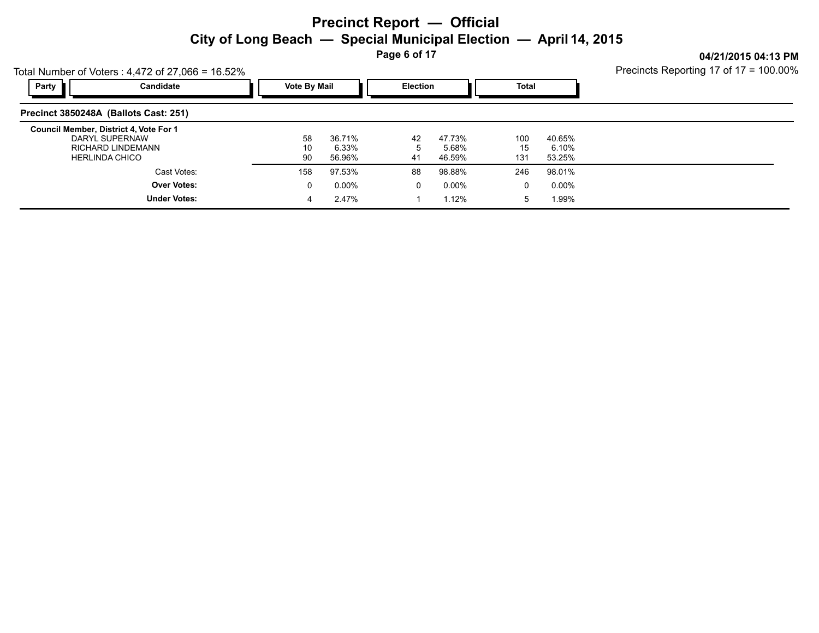**Page 6 of 17**

**04/21/2015 04:13 PM** Precincts Reporting 17 of 17 = 100.00%

|                    | 10 a 10.32% = 10.32% 10.81% of 2.4.472 01 27,000 = 10.32 |                     | $\frac{1}{2}$ is contacted the potating $\frac{1}{2}$ of $\frac{1}{2}$ = 100.007 |                 |          |              |          |  |
|--------------------|----------------------------------------------------------|---------------------|----------------------------------------------------------------------------------|-----------------|----------|--------------|----------|--|
| Party<br>Candidate |                                                          | <b>Vote By Mail</b> |                                                                                  | <b>Election</b> |          | <b>Total</b> |          |  |
|                    | Precinct 3850248A (Ballots Cast: 251)                    |                     |                                                                                  |                 |          |              |          |  |
|                    | Council Member, District 4, Vote For 1                   |                     |                                                                                  |                 |          |              |          |  |
|                    | DARYL SUPERNAW                                           | 58                  | 36.71%                                                                           | 42              | 47.73%   | 100          | 40.65%   |  |
|                    | RICHARD LINDEMANN                                        | 10                  | 6.33%                                                                            |                 | 5.68%    | 15           | 6.10%    |  |
|                    | <b>HERLINDA CHICO</b>                                    | 90                  | 56.96%                                                                           | 41              | 46.59%   | 131          | 53.25%   |  |
|                    | Cast Votes:                                              | 158                 | 97.53%                                                                           | 88              | 98.88%   | 246          | 98.01%   |  |
|                    | <b>Over Votes:</b>                                       |                     | $0.00\%$                                                                         | 0               | $0.00\%$ | 0            | $0.00\%$ |  |
|                    | <b>Under Votes:</b>                                      |                     | 2.47%                                                                            |                 | 1.12%    | 5            | 1.99%    |  |
|                    |                                                          |                     |                                                                                  |                 |          |              |          |  |

Total Number of Voters :  $4,472$  of 27,066 = 16.52%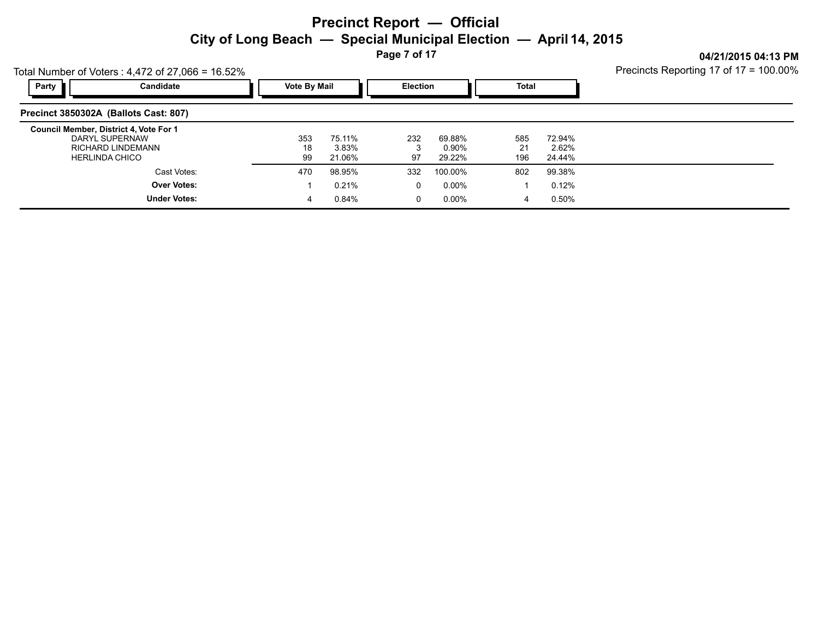**Page 7 of 17**

Precincts Reporting 17 of 17 = 100.00%

**04/21/2015 04:13 PM**

| Total Number of Voters: $4,472$ of 27,066 = 16.52%                                                     | Precincts Reporting 17 of 17 = 100.00% |                           |                 |                           |                  |                           |  |
|--------------------------------------------------------------------------------------------------------|----------------------------------------|---------------------------|-----------------|---------------------------|------------------|---------------------------|--|
| Party<br>Candidate                                                                                     | <b>Vote By Mail</b>                    |                           | <b>Election</b> |                           | <b>Total</b>     |                           |  |
| Precinct 3850302A (Ballots Cast: 807)                                                                  |                                        |                           |                 |                           |                  |                           |  |
| Council Member, District 4, Vote For 1<br>DARYL SUPERNAW<br>RICHARD LINDEMANN<br><b>HERLINDA CHICO</b> | 353<br>18<br>99                        | 75.11%<br>3.83%<br>21.06% | 232<br>97       | 69.88%<br>0.90%<br>29.22% | 585<br>21<br>196 | 72.94%<br>2.62%<br>24.44% |  |
| Cast Votes:                                                                                            | 470                                    | 98.95%                    | 332             | 100.00%                   | 802              | 99.38%                    |  |
| <b>Over Votes:</b>                                                                                     |                                        | 0.21%                     | 0               | $0.00\%$                  |                  | 0.12%                     |  |
| <b>Under Votes:</b>                                                                                    |                                        | 0.84%                     | 0               | 0.00%                     | 4                | 0.50%                     |  |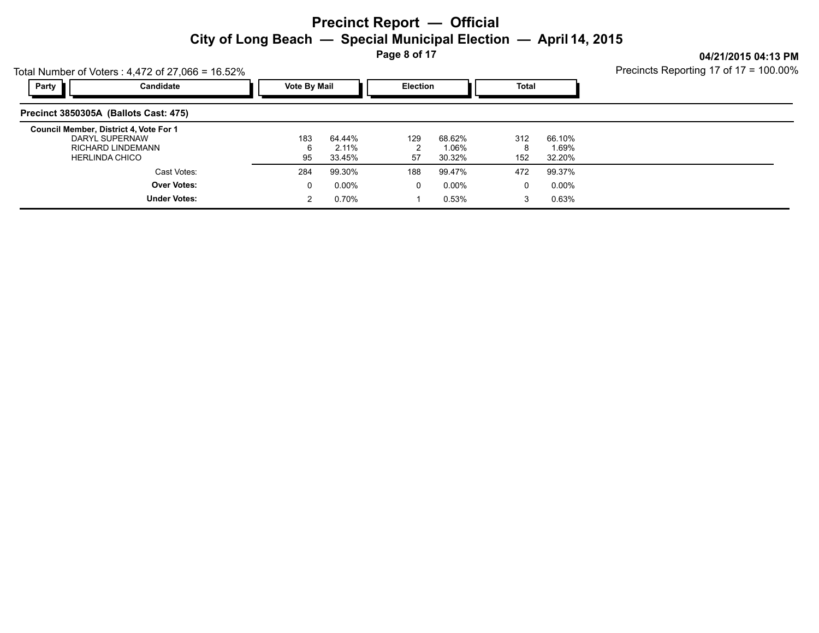**Page 8 of 17**

**04/21/2015 04:13 PM**

|                                                                                                        | Total Number of Voters: $4,472$ of 27,066 = 16.52% |  |                     |                              |                 |                           |                 |                           |  |  |  |
|--------------------------------------------------------------------------------------------------------|----------------------------------------------------|--|---------------------|------------------------------|-----------------|---------------------------|-----------------|---------------------------|--|--|--|
| Party                                                                                                  | Candidate                                          |  | <b>Vote By Mail</b> |                              | <b>Election</b> |                           | <b>Total</b>    |                           |  |  |  |
| Precinct 3850305A (Ballots Cast: 475)                                                                  |                                                    |  |                     |                              |                 |                           |                 |                           |  |  |  |
| Council Member, District 4, Vote For 1<br>DARYL SUPERNAW<br>RICHARD LINDEMANN<br><b>HERLINDA CHICO</b> |                                                    |  | 183<br>6<br>95      | 64.44%<br>$2.11\%$<br>33.45% | 129<br>57       | 68.62%<br>1.06%<br>30.32% | 312<br>8<br>152 | 66.10%<br>1.69%<br>32.20% |  |  |  |
|                                                                                                        | Cast Votes:                                        |  | 284                 | 99.30%                       | 188             | 99.47%                    | 472             | 99.37%                    |  |  |  |
|                                                                                                        | <b>Over Votes:</b>                                 |  | 0                   | $0.00\%$                     | $\mathbf 0$     | $0.00\%$                  | 0               | 0.00%                     |  |  |  |
|                                                                                                        | <b>Under Votes:</b>                                |  | 2                   | $0.70\%$                     |                 | 0.53%                     |                 | 0.63%                     |  |  |  |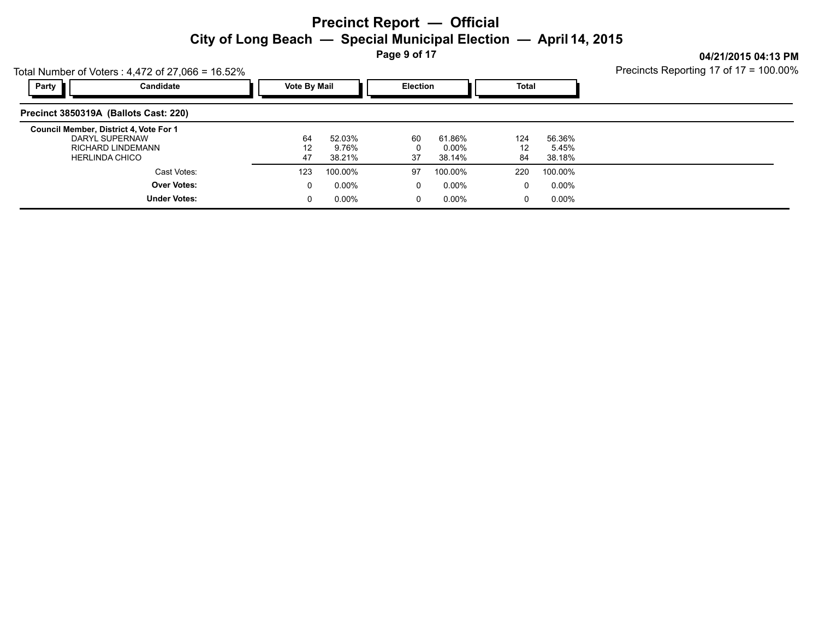**Page 9 of 17**

**04/21/2015 04:13 PM**

| Total Number of Voters: $4,472$ of 27,066 = 16.52%                                                     | Precincts Reporting 17 of 17 = 100.00% |                           |                 |                           |                 |                           |  |
|--------------------------------------------------------------------------------------------------------|----------------------------------------|---------------------------|-----------------|---------------------------|-----------------|---------------------------|--|
| Party<br>Candidate                                                                                     | <b>Vote By Mail</b>                    |                           | <b>Election</b> |                           | Total           |                           |  |
| Precinct 3850319A (Ballots Cast: 220)                                                                  |                                        |                           |                 |                           |                 |                           |  |
| Council Member, District 4, Vote For 1<br>DARYL SUPERNAW<br>RICHARD LINDEMANN<br><b>HERLINDA CHICO</b> | 64<br>12<br>47                         | 52.03%<br>9.76%<br>38.21% | 60<br>0<br>37   | 61.86%<br>0.00%<br>38.14% | 124<br>12<br>84 | 56.36%<br>5.45%<br>38.18% |  |
| Cast Votes:                                                                                            | 123                                    | 100.00%                   | 97              | 100.00%                   | 220             | 100.00%                   |  |
| <b>Over Votes:</b>                                                                                     | 0                                      | $0.00\%$                  | $\Omega$        | $0.00\%$                  | $\Omega$        | 0.00%                     |  |
| <b>Under Votes:</b>                                                                                    | 0                                      | 0.00%                     | 0               | 0.00%                     |                 | $0.00\%$                  |  |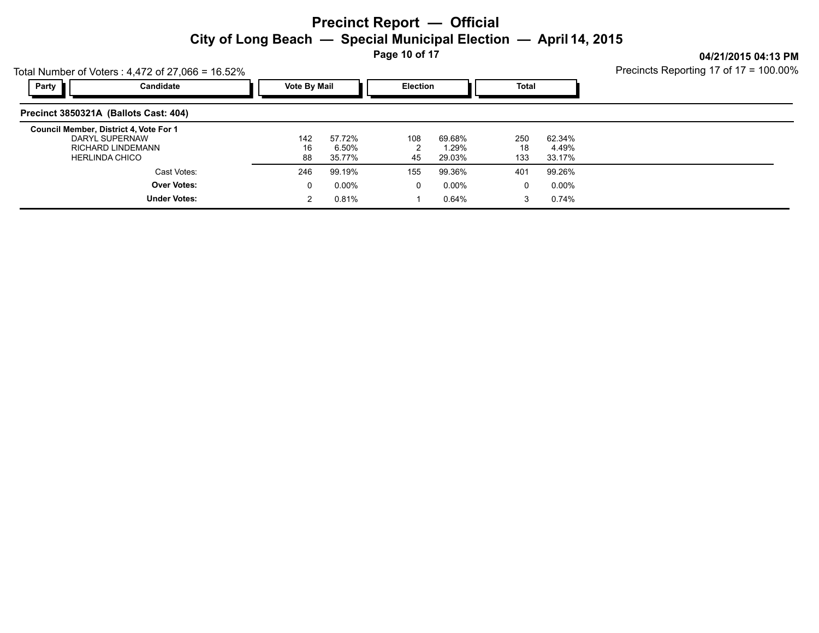**Page 10 of 17**

**04/21/2015 04:13 PM**

|                                        | Total Number of Voters: $4,472$ of 27,066 = 16.52%           | Precincts Reporting 17 of 17 = 100.00% |                     |                           |                 |                           |                  |                           |  |
|----------------------------------------|--------------------------------------------------------------|----------------------------------------|---------------------|---------------------------|-----------------|---------------------------|------------------|---------------------------|--|
| Party                                  | Candidate                                                    |                                        | <b>Vote By Mail</b> |                           | <b>Election</b> |                           | <b>Total</b>     |                           |  |
| Precinct 3850321A (Ballots Cast: 404)  |                                                              |                                        |                     |                           |                 |                           |                  |                           |  |
| Council Member, District 4, Vote For 1 | DARYL SUPERNAW<br>RICHARD LINDEMANN<br><b>HERLINDA CHICO</b> |                                        | 142<br>16<br>88     | 57.72%<br>6.50%<br>35.77% | 108<br>45       | 69.68%<br>1.29%<br>29.03% | 250<br>18<br>133 | 62.34%<br>4.49%<br>33.17% |  |
|                                        | Cast Votes:                                                  |                                        | 246                 | 99.19%                    | 155             | 99.36%                    | 401              | 99.26%                    |  |
|                                        | <b>Over Votes:</b><br><b>Under Votes:</b>                    |                                        | 0<br>2              | $0.00\%$<br>0.81%         | 0               | $0.00\%$<br>0.64%         | 0                | $0.00\%$<br>0.74%         |  |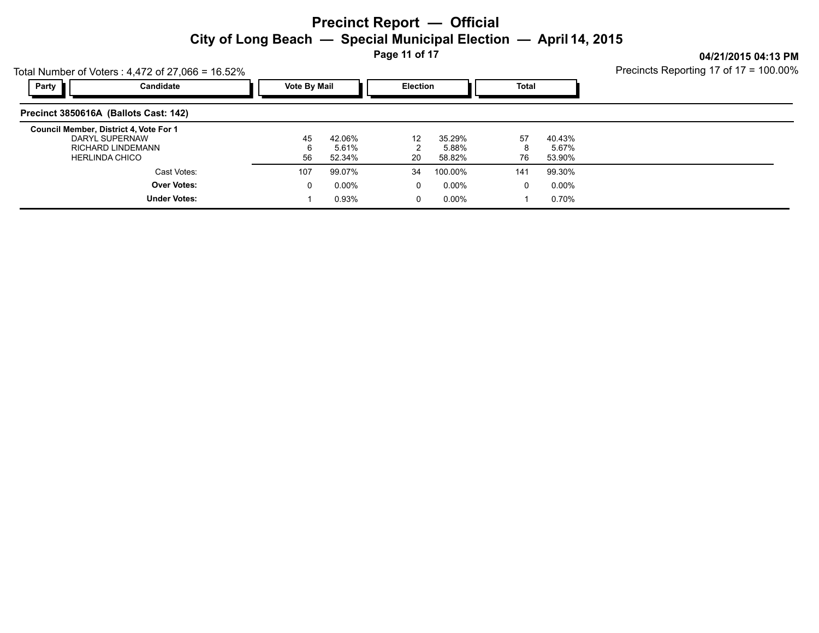**Page 11 of 17**

Precincts Reporting 17 of 17 = 100.00%

**04/21/2015 04:13 PM**

| Total Number of Voters: $4,472$ of 27,066 = 16.52%                                                            | Precincts Reporting 17 of 17 = 100.00% |                           |                 |                           |               |                           |  |
|---------------------------------------------------------------------------------------------------------------|----------------------------------------|---------------------------|-----------------|---------------------------|---------------|---------------------------|--|
| Party<br>Candidate                                                                                            | <b>Vote By Mail</b>                    |                           | <b>Election</b> |                           | Total         |                           |  |
| Precinct 3850616A (Ballots Cast: 142)                                                                         |                                        |                           |                 |                           |               |                           |  |
| Council Member, District 4, Vote For 1<br>DARYL SUPERNAW<br><b>RICHARD LINDEMANN</b><br><b>HERLINDA CHICO</b> | 45<br>56                               | 42.06%<br>5.61%<br>52.34% | 12<br>20        | 35.29%<br>5.88%<br>58.82% | 57<br>8<br>76 | 40.43%<br>5.67%<br>53.90% |  |
| Cast Votes:                                                                                                   | 107                                    | 99.07%                    | 34              | 100.00%                   | 141           | 99.30%                    |  |
| <b>Over Votes:</b>                                                                                            | 0                                      | $0.00\%$                  | 0               | $0.00\%$                  | 0             | $0.00\%$                  |  |
| <b>Under Votes:</b>                                                                                           |                                        | 0.93%                     |                 | 0.00%                     |               | 0.70%                     |  |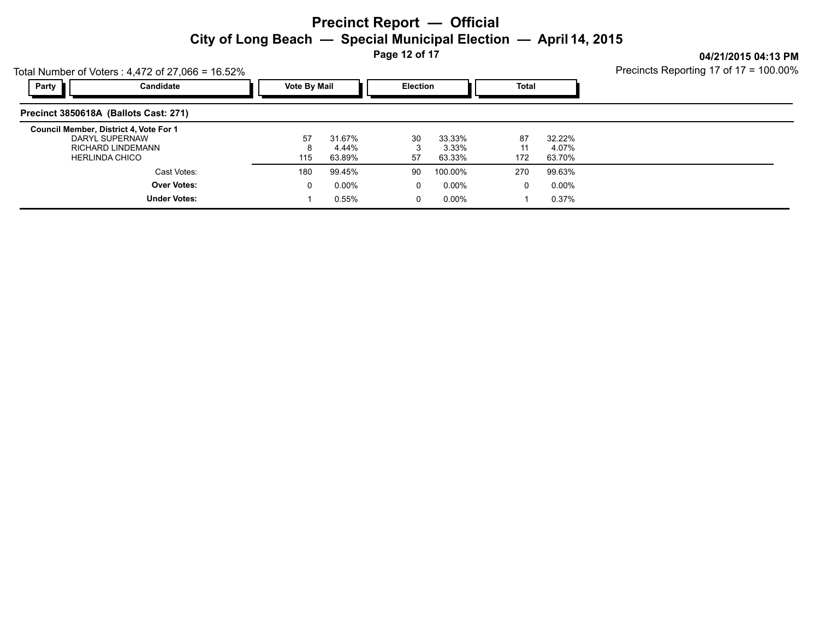**Page 12 of 17**

**04/21/2015 04:13 PM**

|                                                                                                        | Total Number of Voters: $4,472$ of 27,066 = 16.52% |  |                     |                           |                 |                           |                 |                           |  |  |  |  |  |
|--------------------------------------------------------------------------------------------------------|----------------------------------------------------|--|---------------------|---------------------------|-----------------|---------------------------|-----------------|---------------------------|--|--|--|--|--|
| Party                                                                                                  | Candidate                                          |  | <b>Vote By Mail</b> |                           | <b>Election</b> |                           | <b>Total</b>    |                           |  |  |  |  |  |
| Precinct 3850618A (Ballots Cast: 271)                                                                  |                                                    |  |                     |                           |                 |                           |                 |                           |  |  |  |  |  |
| Council Member, District 4, Vote For 1<br>DARYL SUPERNAW<br>RICHARD LINDEMANN<br><b>HERLINDA CHICO</b> |                                                    |  | 57<br>115           | 31.67%<br>4.44%<br>63.89% | 30<br>3<br>57   | 33.33%<br>3.33%<br>63.33% | 87<br>11<br>172 | 32.22%<br>4.07%<br>63.70% |  |  |  |  |  |
|                                                                                                        | Cast Votes:                                        |  | 180                 | 99.45%                    | 90              | 100.00%                   | 270             | 99.63%                    |  |  |  |  |  |
|                                                                                                        | <b>Over Votes:</b><br><b>Under Votes:</b>          |  | 0                   | $0.00\%$<br>0.55%         | 0<br>0          | $0.00\%$<br>$0.00\%$      | 0               | $0.00\%$<br>0.37%         |  |  |  |  |  |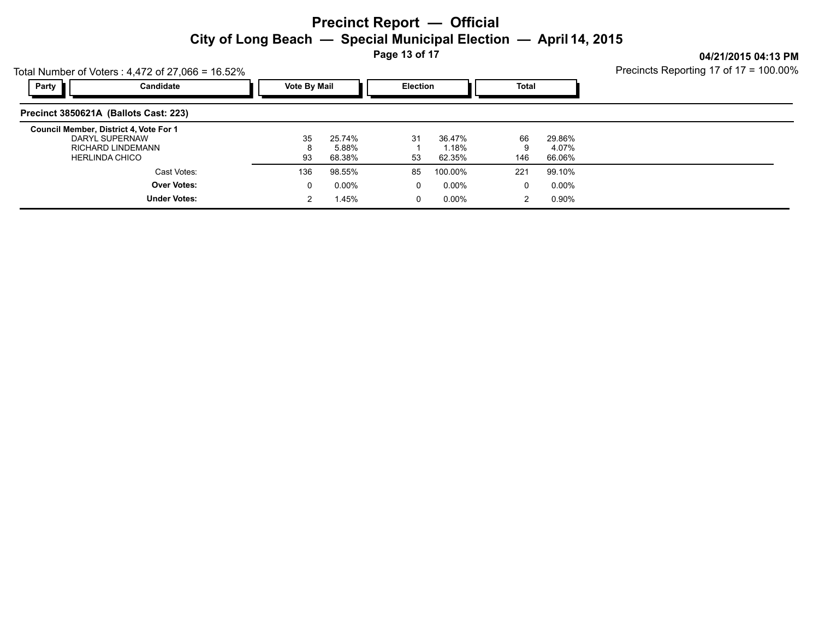**Page 13 of 17**

**04/21/2015 04:13 PM**

| Total Number of Voters: $4,472$ of 27,066 = 16.52%                                                     | Precincts Reporting 17 of 17 = 100.00%    |  |                     |                           |          |                           |                |                           |  |
|--------------------------------------------------------------------------------------------------------|-------------------------------------------|--|---------------------|---------------------------|----------|---------------------------|----------------|---------------------------|--|
| Party                                                                                                  | Candidate                                 |  | <b>Vote By Mail</b> |                           |          | <b>Election</b>           |                |                           |  |
|                                                                                                        | Precinct 3850621A (Ballots Cast: 223)     |  |                     |                           |          |                           |                |                           |  |
| Council Member, District 4, Vote For 1<br>DARYL SUPERNAW<br>RICHARD LINDEMANN<br><b>HERLINDA CHICO</b> |                                           |  | 35<br>93            | 25.74%<br>5.88%<br>68.38% | 31<br>53 | 36.47%<br>1.18%<br>62.35% | 66<br>9<br>146 | 29.86%<br>4.07%<br>66.06% |  |
|                                                                                                        | Cast Votes:                               |  | 136                 | 98.55%                    | 85       | 100.00%                   | 221            | 99.10%                    |  |
|                                                                                                        | <b>Over Votes:</b><br><b>Under Votes:</b> |  | 0<br>2              | $0.00\%$<br>1.45%         | 0<br>0   | $0.00\%$<br>$0.00\%$      | 0<br>2         | 0.00%<br>0.90%            |  |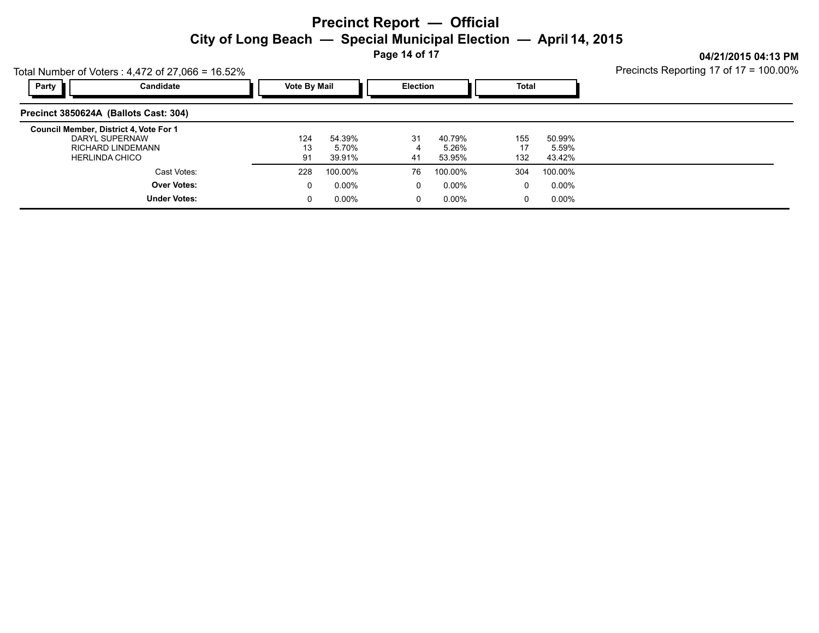**Page 14 of 17**

Precincts Reporting 17 of 17 = 100.00%

**04/21/2015 04:13 PM**

| Total Number of Voters: $4,472$ of 27,066 = 16.52%                                                            | Precincts Reporting 17 of 17 = 100.00% |                           |          |                           |                  |                           |  |
|---------------------------------------------------------------------------------------------------------------|----------------------------------------|---------------------------|----------|---------------------------|------------------|---------------------------|--|
| Party<br>Candidate                                                                                            |                                        | <b>Vote By Mail</b>       |          | <b>Election</b>           |                  | Total                     |  |
| Precinct 3850624A (Ballots Cast: 304)                                                                         |                                        |                           |          |                           |                  |                           |  |
| Council Member, District 4, Vote For 1<br>DARYL SUPERNAW<br><b>RICHARD LINDEMANN</b><br><b>HERLINDA CHICO</b> | 124<br>13<br>91                        | 54.39%<br>5.70%<br>39.91% | 31<br>41 | 40.79%<br>5.26%<br>53.95% | 155<br>17<br>132 | 50.99%<br>5.59%<br>43.42% |  |
| Cast Votes:                                                                                                   | 228                                    | 100.00%                   | 76       | 100.00%                   | 304              | 100.00%                   |  |
| <b>Over Votes:</b>                                                                                            | 0                                      | $0.00\%$                  | 0        | 0.00%                     | $\Omega$         | 0.00%                     |  |
| <b>Under Votes:</b>                                                                                           |                                        | $0.00\%$                  | 0        | $0.00\%$                  | $\Omega$         | $0.00\%$                  |  |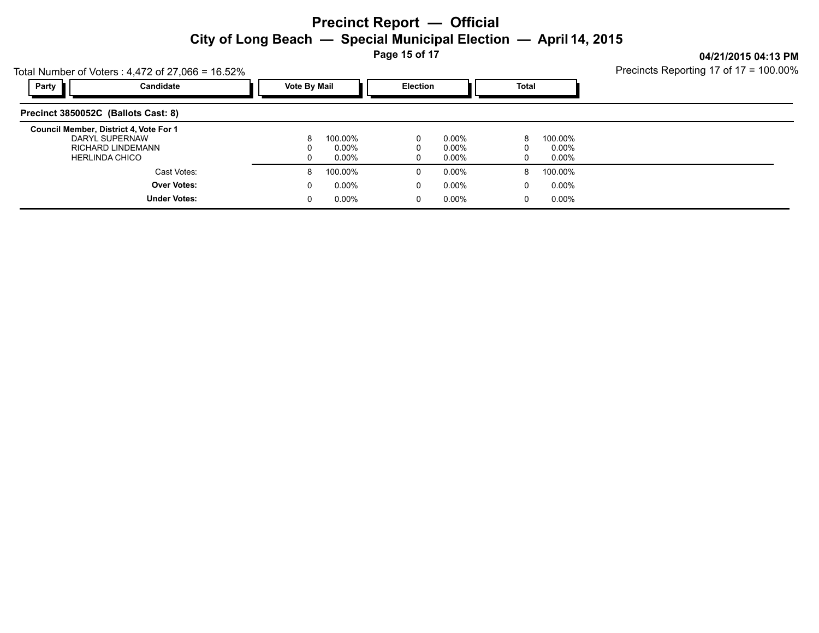**Page 15 of 17**

**04/21/2015 04:13 PM** Precincts Reporting 17 of 17 = 100.00%

|                                     | Total Number of Voters: $4,472$ of 27,066 = 16.52%                                   | Precincts Reporting 17 of 17 = 100.00% |                      |        |                   |               |                      |  |
|-------------------------------------|--------------------------------------------------------------------------------------|----------------------------------------|----------------------|--------|-------------------|---------------|----------------------|--|
| Party                               | Candidate                                                                            |                                        | <b>Vote By Mail</b>  |        | <b>Election</b>   |               | Total                |  |
| Precinct 3850052C (Ballots Cast: 8) |                                                                                      |                                        |                      |        |                   |               |                      |  |
|                                     | Council Member, District 4, Vote For 1<br>DARYL SUPERNAW<br><b>RICHARD LINDEMANN</b> | 8                                      | 100.00%<br>$0.00\%$  | 0      | $0.00\%$<br>0.00% | 8<br>0        | 100.00%<br>0.00%     |  |
|                                     | <b>HERLINDA CHICO</b><br>Cast Votes:                                                 | 0<br>8                                 | $0.00\%$<br>100.00%  | O      | 0.00%<br>$0.00\%$ | 0<br>8        | 0.00%<br>100.00%     |  |
|                                     | <b>Over Votes:</b><br><b>Under Votes:</b>                                            | 0<br>0                                 | $0.00\%$<br>$0.00\%$ | 0<br>0 | 0.00%<br>$0.00\%$ | $\Omega$<br>0 | $0.00\%$<br>$0.00\%$ |  |
|                                     |                                                                                      |                                        |                      |        |                   |               |                      |  |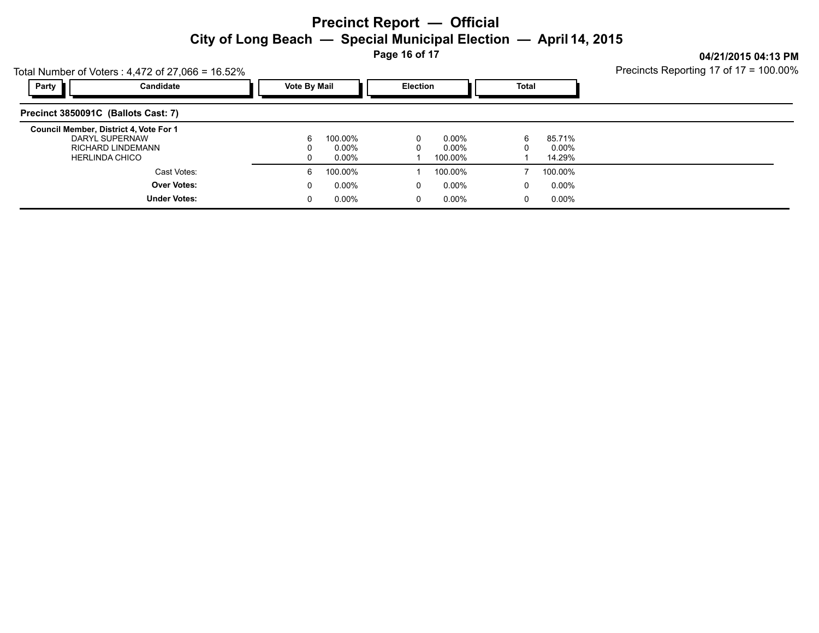**Page 16 of 17**

**04/21/2015 04:13 PM** Precincts Reporting 17 of 17 = 100.00%

| Total Number of Voters: $4,472$ of 27,066 = 16.52%                                                     | Precincts Reporting 17 of 17 = 100.00%    |                     |                           |                 |                           |              |                           |  |
|--------------------------------------------------------------------------------------------------------|-------------------------------------------|---------------------|---------------------------|-----------------|---------------------------|--------------|---------------------------|--|
| Party                                                                                                  | Candidate                                 | <b>Vote By Mail</b> |                           | <b>Election</b> |                           | <b>Total</b> |                           |  |
| Precinct 3850091C (Ballots Cast: 7)                                                                    |                                           |                     |                           |                 |                           |              |                           |  |
| Council Member, District 4, Vote For 1<br>DARYL SUPERNAW<br>RICHARD LINDEMANN<br><b>HERLINDA CHICO</b> |                                           |                     | 100.00%<br>0.00%<br>0.00% | 0               | 0.00%<br>0.00%<br>100.00% | 6            | 85.71%<br>0.00%<br>14.29% |  |
|                                                                                                        | Cast Votes:                               | 6                   | 100.00%                   |                 | 100.00%                   |              | 100.00%                   |  |
|                                                                                                        | <b>Over Votes:</b><br><b>Under Votes:</b> | 0                   | $0.00\%$<br>$0.00\%$      | 0<br>0          | 0.00%<br>0.00%            | 0            | $0.00\%$<br>$0.00\%$      |  |